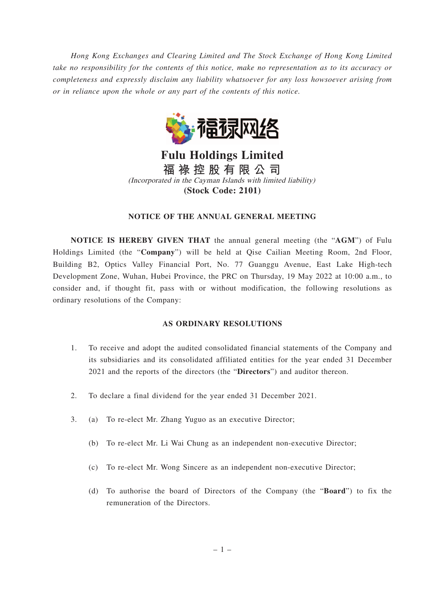*Hong Kong Exchanges and Clearing Limited and The Stock Exchange of Hong Kong Limited take no responsibility for the contents of this notice, make no representation as to its accuracy or completeness and expressly disclaim any liability whatsoever for any loss howsoever arising from or in reliance upon the whole or any part of the contents of this notice.*



**Fulu Holdings Limited 福 祿 控 股 有 限 公 司** (Incorporated in the Cayman Islands with limited liability) **(Stock Code: 2101)**

## **NOTICE OF THE ANNUAL GENERAL MEETING**

**NOTICE IS HEREBY GIVEN THAT** the annual general meeting (the "**AGM**") of Fulu Holdings Limited (the "**Company**") will be held at Qise Cailian Meeting Room, 2nd Floor, Building B2, Optics Valley Financial Port, No. 77 Guanggu Avenue, East Lake High-tech Development Zone, Wuhan, Hubei Province, the PRC on Thursday, 19 May 2022 at 10:00 a.m., to consider and, if thought fit, pass with or without modification, the following resolutions as ordinary resolutions of the Company:

## **AS ORDINARY RESOLUTIONS**

- 1. To receive and adopt the audited consolidated financial statements of the Company and its subsidiaries and its consolidated affiliated entities for the year ended 31 December 2021 and the reports of the directors (the "**Directors**") and auditor thereon.
- 2. To declare a final dividend for the year ended 31 December 2021.
- 3. (a) To re-elect Mr. Zhang Yuguo as an executive Director;
	- (b) To re-elect Mr. Li Wai Chung as an independent non-executive Director;
	- (c) To re-elect Mr. Wong Sincere as an independent non-executive Director;
	- (d) To authorise the board of Directors of the Company (the "**Board**") to fix the remuneration of the Directors.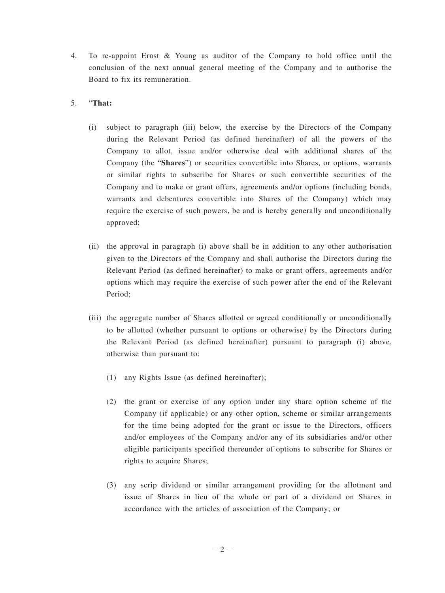- 4. To re-appoint Ernst & Young as auditor of the Company to hold office until the conclusion of the next annual general meeting of the Company and to authorise the Board to fix its remuneration.
- 5. "**That:**
	- (i) subject to paragraph (iii) below, the exercise by the Directors of the Company during the Relevant Period (as defined hereinafter) of all the powers of the Company to allot, issue and/or otherwise deal with additional shares of the Company (the "**Shares**") or securities convertible into Shares, or options, warrants or similar rights to subscribe for Shares or such convertible securities of the Company and to make or grant offers, agreements and/or options (including bonds, warrants and debentures convertible into Shares of the Company) which may require the exercise of such powers, be and is hereby generally and unconditionally approved;
	- (ii) the approval in paragraph (i) above shall be in addition to any other authorisation given to the Directors of the Company and shall authorise the Directors during the Relevant Period (as defined hereinafter) to make or grant offers, agreements and/or options which may require the exercise of such power after the end of the Relevant Period;
	- (iii) the aggregate number of Shares allotted or agreed conditionally or unconditionally to be allotted (whether pursuant to options or otherwise) by the Directors during the Relevant Period (as defined hereinafter) pursuant to paragraph (i) above, otherwise than pursuant to:
		- (1) any Rights Issue (as defined hereinafter);
		- (2) the grant or exercise of any option under any share option scheme of the Company (if applicable) or any other option, scheme or similar arrangements for the time being adopted for the grant or issue to the Directors, officers and/or employees of the Company and/or any of its subsidiaries and/or other eligible participants specified thereunder of options to subscribe for Shares or rights to acquire Shares;
		- (3) any scrip dividend or similar arrangement providing for the allotment and issue of Shares in lieu of the whole or part of a dividend on Shares in accordance with the articles of association of the Company; or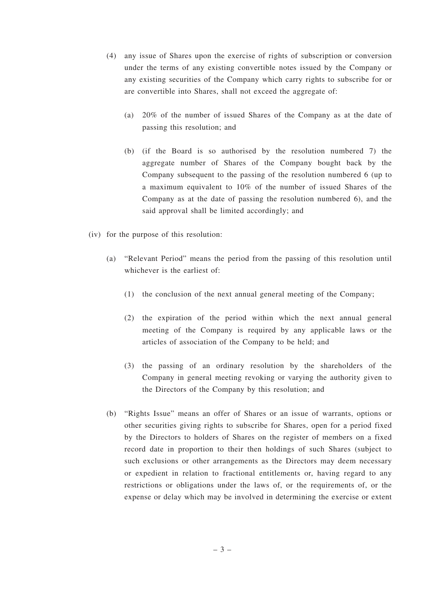- (4) any issue of Shares upon the exercise of rights of subscription or conversion under the terms of any existing convertible notes issued by the Company or any existing securities of the Company which carry rights to subscribe for or are convertible into Shares, shall not exceed the aggregate of:
	- (a) 20% of the number of issued Shares of the Company as at the date of passing this resolution; and
	- (b) (if the Board is so authorised by the resolution numbered 7) the aggregate number of Shares of the Company bought back by the Company subsequent to the passing of the resolution numbered 6 (up to a maximum equivalent to 10% of the number of issued Shares of the Company as at the date of passing the resolution numbered 6), and the said approval shall be limited accordingly; and
- (iv) for the purpose of this resolution:
	- (a) "Relevant Period" means the period from the passing of this resolution until whichever is the earliest of:
		- (1) the conclusion of the next annual general meeting of the Company;
		- (2) the expiration of the period within which the next annual general meeting of the Company is required by any applicable laws or the articles of association of the Company to be held; and
		- (3) the passing of an ordinary resolution by the shareholders of the Company in general meeting revoking or varying the authority given to the Directors of the Company by this resolution; and
	- (b) "Rights Issue" means an offer of Shares or an issue of warrants, options or other securities giving rights to subscribe for Shares, open for a period fixed by the Directors to holders of Shares on the register of members on a fixed record date in proportion to their then holdings of such Shares (subject to such exclusions or other arrangements as the Directors may deem necessary or expedient in relation to fractional entitlements or, having regard to any restrictions or obligations under the laws of, or the requirements of, or the expense or delay which may be involved in determining the exercise or extent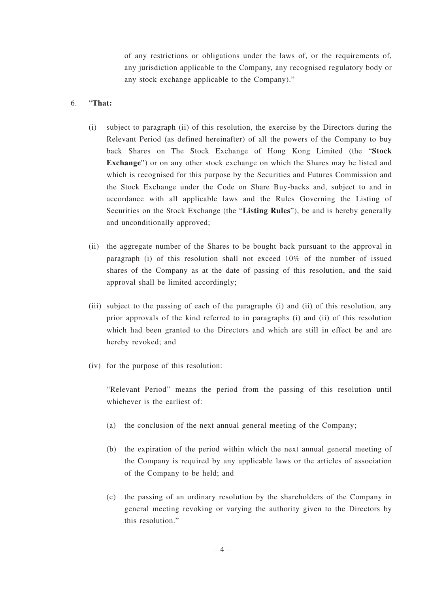of any restrictions or obligations under the laws of, or the requirements of, any jurisdiction applicable to the Company, any recognised regulatory body or any stock exchange applicable to the Company)."

## 6. "**That:**

- (i) subject to paragraph (ii) of this resolution, the exercise by the Directors during the Relevant Period (as defined hereinafter) of all the powers of the Company to buy back Shares on The Stock Exchange of Hong Kong Limited (the "**Stock Exchange**") or on any other stock exchange on which the Shares may be listed and which is recognised for this purpose by the Securities and Futures Commission and the Stock Exchange under the Code on Share Buy-backs and, subject to and in accordance with all applicable laws and the Rules Governing the Listing of Securities on the Stock Exchange (the "**Listing Rules**"), be and is hereby generally and unconditionally approved;
- (ii) the aggregate number of the Shares to be bought back pursuant to the approval in paragraph (i) of this resolution shall not exceed 10% of the number of issued shares of the Company as at the date of passing of this resolution, and the said approval shall be limited accordingly;
- (iii) subject to the passing of each of the paragraphs (i) and (ii) of this resolution, any prior approvals of the kind referred to in paragraphs (i) and (ii) of this resolution which had been granted to the Directors and which are still in effect be and are hereby revoked; and
- (iv) for the purpose of this resolution:

"Relevant Period" means the period from the passing of this resolution until whichever is the earliest of:

- (a) the conclusion of the next annual general meeting of the Company;
- (b) the expiration of the period within which the next annual general meeting of the Company is required by any applicable laws or the articles of association of the Company to be held; and
- (c) the passing of an ordinary resolution by the shareholders of the Company in general meeting revoking or varying the authority given to the Directors by this resolution."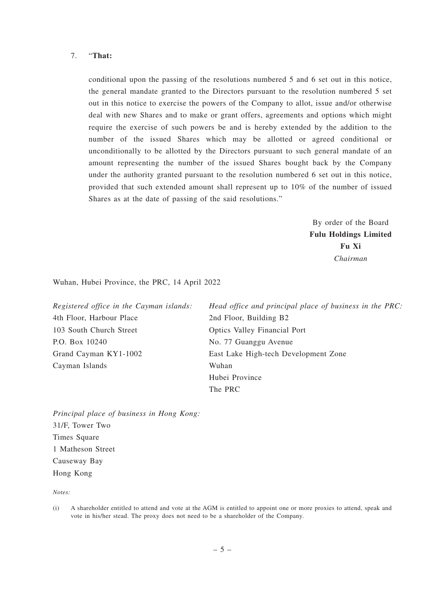## 7. "**That:**

conditional upon the passing of the resolutions numbered 5 and 6 set out in this notice, the general mandate granted to the Directors pursuant to the resolution numbered 5 set out in this notice to exercise the powers of the Company to allot, issue and/or otherwise deal with new Shares and to make or grant offers, agreements and options which might require the exercise of such powers be and is hereby extended by the addition to the number of the issued Shares which may be allotted or agreed conditional or unconditionally to be allotted by the Directors pursuant to such general mandate of an amount representing the number of the issued Shares bought back by the Company under the authority granted pursuant to the resolution numbered 6 set out in this notice, provided that such extended amount shall represent up to 10% of the number of issued Shares as at the date of passing of the said resolutions."

> By order of the Board **Fulu Holdings Limited Fu Xi** *Chairman*

Wuhan, Hubei Province, the PRC, 14 April 2022

| Registered office in the Cayman islands: | Head office and principal place of business in the PRC: |
|------------------------------------------|---------------------------------------------------------|
| 4th Floor, Harbour Place                 | 2nd Floor, Building B2                                  |
| 103 South Church Street                  | Optics Valley Financial Port                            |
| P.O. Box 10240                           | No. 77 Guanggu Avenue                                   |
| Grand Cayman KY1-1002                    | East Lake High-tech Development Zone                    |
| Cayman Islands                           | Wuhan                                                   |
|                                          | Hubei Province                                          |
|                                          | The PRC                                                 |

*Principal place of business in Hong Kong:* 31/F, Tower Two Times Square 1 Matheson Street Causeway Bay Hong Kong

*Notes:*

<sup>(</sup>i) A shareholder entitled to attend and vote at the AGM is entitled to appoint one or more proxies to attend, speak and vote in his/her stead. The proxy does not need to be a shareholder of the Company.